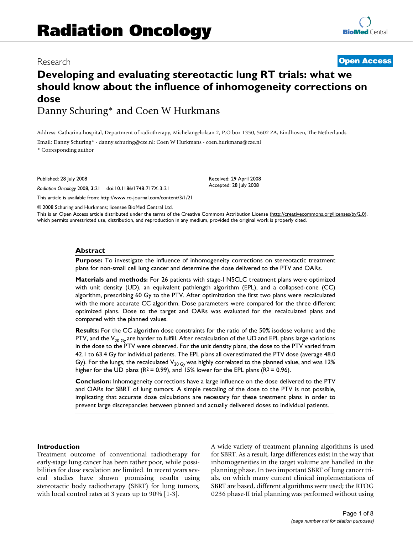# Research **[Open Access](http://www.biomedcentral.com/info/about/charter/)**

# **Developing and evaluating stereotactic lung RT trials: what we should know about the influence of inhomogeneity corrections on dose**

Danny Schuring\* and Coen W Hurkmans

Address: Catharina-hospital, Department of radiotherapy, Michelangelolaan 2, P.O box 1350, 5602 ZA, Eindhoven, The Netherlands

Email: Danny Schuring\* - danny.schuring@cze.nl; Coen W Hurkmans - coen.hurkmans@cze.nl \* Corresponding author

Published: 28 July 2008

*Radiation Oncology* 2008, **3**:21 doi:10.1186/1748-717X-3-21

[This article is available from: http://www.ro-journal.com/content/3/1/21](http://www.ro-journal.com/content/3/1/21)

© 2008 Schuring and Hurkmans; licensee BioMed Central Ltd.

This is an Open Access article distributed under the terms of the Creative Commons Attribution License [\(http://creativecommons.org/licenses/by/2.0\)](http://creativecommons.org/licenses/by/2.0), which permits unrestricted use, distribution, and reproduction in any medium, provided the original work is properly cited.

Received: 29 April 2008 Accepted: 28 July 2008

#### **Abstract**

**Purpose:** To investigate the influence of inhomogeneity corrections on stereotactic treatment plans for non-small cell lung cancer and determine the dose delivered to the PTV and OARs.

**Materials and methods:** For 26 patients with stage-I NSCLC treatment plans were optimized with unit density (UD), an equivalent pathlength algorithm (EPL), and a collapsed-cone (CC) algorithm, prescribing 60 Gy to the PTV. After optimization the first two plans were recalculated with the more accurate CC algorithm. Dose parameters were compared for the three different optimized plans. Dose to the target and OARs was evaluated for the recalculated plans and compared with the planned values.

**Results:** For the CC algorithm dose constraints for the ratio of the 50% isodose volume and the PTV, and the  $V_{20\ Gy}$  are harder to fulfill. After recalculation of the UD and EPL plans large variations in the dose to the PTV were observed. For the unit density plans, the dose to the PTV varied from 42.1 to 63.4 Gy for individual patients. The EPL plans all overestimated the PTV dose (average 48.0 Gy). For the lungs, the recalculated  $V_{20\text{ Gy}}$  was highly correlated to the planned value, and was 12% higher for the UD plans ( $R^2$  = 0.99), and 15% lower for the EPL plans ( $R^2$  = 0.96).

**Conclusion:** Inhomogeneity corrections have a large influence on the dose delivered to the PTV and OARs for SBRT of lung tumors. A simple rescaling of the dose to the PTV is not possible, implicating that accurate dose calculations are necessary for these treatment plans in order to prevent large discrepancies between planned and actually delivered doses to individual patients.

#### **Introduction**

Treatment outcome of conventional radiotherapy for early-stage lung cancer has been rather poor, while possibilities for dose escalation are limited. In recent years several studies have shown promising results using stereotactic body radiotherapy (SBRT) for lung tumors, with local control rates at 3 years up to 90% [1-3].

A wide variety of treatment planning algorithms is used for SBRT. As a result, large differences exist in the way that inhomogeneities in the target volume are handled in the planning phase. In two important SBRT of lung cancer trials, on which many current clinical implementations of SBRT are based, different algorithms were used; the RTOG 0236 phase-II trial planning was performed without using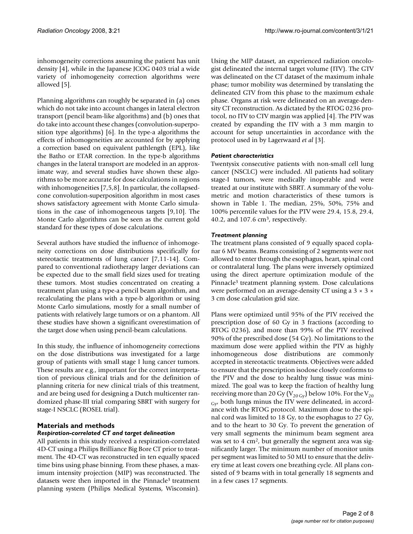inhomogeneity corrections assuming the patient has unit density [4], while in the Japanese JCOG 0403 trial a wide variety of inhomogeneity correction algorithms were allowed [5].

Planning algorithms can roughly be separated in (a) ones which do not take into account changes in lateral electron transport (pencil beam-like algorithms) and (b) ones that do take into account these changes (convolution-superposition type algorithms) [6]. In the type-a algorithms the effects of inhomogeneities are accounted for by applying a correction based on equivalent pathlength (EPL), like the Batho or ETAR correction. In the type-b algorithms changes in the lateral transport are modeled in an approximate way, and several studies have shown these algorithms to be more accurate for dose calculations in regions with inhomogeneities [7,5,8]. In particular, the collapsedcone convolution-superposition algorithm in most cases shows satisfactory agreement with Monte Carlo simulations in the case of inhomogeneous targets [9,10]. The Monte Carlo algorithms can be seen as the current gold standard for these types of dose calculations.

Several authors have studied the influence of inhomogeneity corrections on dose distributions specifically for stereotactic treatments of lung cancer [7,11-14]. Compared to conventional radiotherapy larger deviations can be expected due to the small field sizes used for treating these tumors. Most studies concentrated on creating a treatment plan using a type-a pencil beam algorithm, and recalculating the plans with a type-b algorithm or using Monte Carlo simulations, mostly for a small number of patients with relatively large tumors or on a phantom. All these studies have shown a significant overestimation of the target dose when using pencil-beam calculations.

In this study, the influence of inhomogeneity corrections on the dose distributions was investigated for a large group of patients with small stage I lung cancer tumors. These results are e.g., important for the correct interpretation of previous clinical trials and for the definition of planning criteria for new clinical trials of this treatment, and are being used for designing a Dutch multicenter randomized phase-III trial comparing SBRT with surgery for stage-I NSCLC (ROSEL trial).

# **Materials and methods**

# *Respiration-correlated CT and target delineation*

All patients in this study received a respiration-correlated 4D-CT using a Philips Brilliance Big Bore CT prior to treatment. The 4D-CT was reconstructed in ten equally spaced time bins using phase binning. From these phases, a maximum intensity projection (MIP) was reconstructed. The datasets were then imported in the Pinnacle<sup>3</sup> treatment planning system (Philips Medical Systems, Wisconsin).

Using the MIP dataset, an experienced radiation oncologist delineated the internal target volume (ITV). The GTV was delineated on the CT dataset of the maximum inhale phase; tumor mobility was determined by translating the delineated GTV from this phase to the maximum exhale phase. Organs at risk were delineated on an average-density CT reconstruction. As dictated by the RTOG 0236 protocol, no ITV to CTV margin was applied [4]. The PTV was created by expanding the ITV with a 3 mm margin to account for setup uncertainties in accordance with the protocol used in by Lagerwaard *et al* [3].

# *Patient characteristics*

Twentysix consecutive patients with non-small cell lung cancer (NSCLC) were included. All patients had solitary stage-I tumors, were medically inoperable and were treated at our institute with SBRT. A summary of the volumetric and motion characteristics of these tumors is shown in Table 1. The median, 25%, 50%, 75% and 100% percentile values for the PTV were 29.4, 15.8, 29.4, 40.2, and  $107.6$  cm<sup>3</sup>, respectively.

# *Treatment planning*

The treatment plans consisted of 9 equally spaced coplanar 6 MV beams. Beams consisting of 2 segments were not allowed to enter through the esophagus, heart, spinal cord or contralateral lung. The plans were inversely optimized using the direct aperture optimization module of the Pinnacle3 treatment planning system. Dose calculations were performed on an average-density CT using a 3 × 3 × 3 cm dose calculation grid size.

Plans were optimized until 95% of the PTV received the prescription dose of 60 Gy in 3 fractions (according to RTOG 0236), and more than 99% of the PTV received 90% of the prescribed dose (54 Gy). No limitations to the maximum dose were applied within the PTV as highly inhomogeneous dose distributions are commonly accepted in stereotactic treatments. Objectives were added to ensure that the prescription isodose closely conforms to the PTV and the dose to healthy lung tissue was minimized. The goal was to keep the fraction of healthy lung receiving more than 20 Gy ( $V_{20\,\text{Gy}}$ ) below 10%. For the  $V_{20}$  $_{\rm Gyr}$  both lungs minus the ITV were delineated, in accordance with the RTOG protocol. Maximum dose to the spinal cord was limited to 18 Gy, to the esophagus to 27 Gy, and to the heart to 30 Gy. To prevent the generation of very small segments the minimum beam segment area was set to 4 cm<sup>2</sup>, but generally the segment area was significantly larger. The minimum number of monitor units per segment was limited to 50 MU to ensure that the delivery time at least covers one breathing cycle. All plans consisted of 9 beams with in total generally 18 segments and in a few cases 17 segments.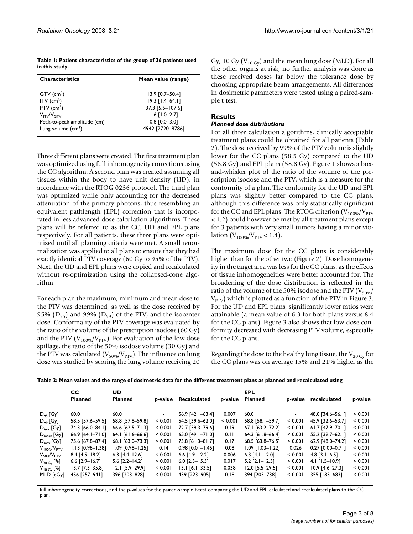**Table 1: Patient characteristics of the group of 26 patients used in this study.**

| <b>Characteristics</b>      | Mean value (range)  |  |  |
|-----------------------------|---------------------|--|--|
| $GTV$ (cm <sup>3</sup> )    | $13.9$ [0.7-50.4]   |  |  |
| $ITV$ (cm <sup>3</sup> )    | $19.3$ [1.4-64.1]   |  |  |
| $PTV$ (cm <sup>3</sup> )    | 37.3 [5.5-107.6]    |  |  |
| $V_{ITV}/V_{GTV}$           | $1.6$ $[1.0 - 2.7]$ |  |  |
| Peak-to-peak amplitude (cm) | $0.8$ $[0.0 - 3.0]$ |  |  |
| Lung volume $(cm^3)$        | 4942 [2720-8786]    |  |  |

Three different plans were created. The first treatment plan was optimized using full inhomogeneity corrections using the CC algorithm. A second plan was created assuming all tissues within the body to have unit density (UD), in accordance with the RTOG 0236 protocol. The third plan was optimized while only accounting for the decreased attenuation of the primary photons, thus resembling an equivalent pathlength (EPL) correction that is incorporated in less advanced dose calculation algorithms. These plans will be referred to as the CC, UD and EPL plans respectively. For all patients, these three plans were optimized until all planning criteria were met. A small renormalization was applied to all plans to ensure that they had exactly identical PTV coverage (60 Gy to 95% of the PTV). Next, the UD and EPL plans were copied and recalculated without re-optimization using the collapsed-cone algorithm.

For each plan the maximum, minimum and mean dose to the PTV was determined, as well as the dose received by 95% ( $D_{95}$ ) and 99% ( $D_{99}$ ) of the PTV, and the isocenter dose. Conformality of the PTV coverage was evaluated by the ratio of the volume of the prescription isodose (60 Gy) and the PTV ( $V_{100\%}/V_{\text{PTV}}$ ). For evaluation of the low dose spillage, the ratio of the 50% isodose volume (30 Gy) and the PTV was calculated ( $V_{50\%}/V_{PTV}$ ). The influence on lung dose was studied by scoring the lung volume receiving 20

Gy, 10 Gy ( $V_{10\,\text{Gy}}$ ) and the mean lung dose (MLD). For all the other organs at risk, no further analysis was done as these received doses far below the tolerance dose by choosing appropriate beam arrangements. All differences in dosimetric parameters were tested using a paired-sample t-test.

### **Results**

### *Planned dose distributions*

For all three calculation algorithms, clinically acceptable treatment plans could be obtained for all patients (Table 2). The dose received by 99% of the PTV volume is slightly lower for the CC plans (58.5 Gy) compared to the UD (58.8 Gy) and EPL plans (58.8 Gy). Figure 1 shows a boxand-whisker plot of the ratio of the volume of the prescription isodose and the PTV, which is a measure for the conformity of a plan. The conformity for the UD and EPL plans was slightly better compared to the CC plans, although this difference was only statistically significant for the CC and EPL plans. The RTOG criterion  $(V_{100\%}/V_{PTV})$ < 1.2) could however be met by all treatment plans except for 3 patients with very small tumors having a minor violation  $(V_{100\%}/V_{PTV}$  < 1.4).

The maximum dose for the CC plans is considerably higher than for the other two (Figure 2). Dose homogeneity in the target area was less for the CC plans, as the effects of tissue inhomogeneities were better accounted for. The broadening of the dose distribution is reflected in the ratio of the volume of the 50% isodose and the PTV ( $V_{50\%}$ )  $V_{\text{PTV}}$ ) which is plotted as a function of the PTV in Figure 3. For the UD and EPL plans, significantly lower ratios were attainable (a mean value of 6.3 for both plans versus 8.4 for the CC plans). Figure 3 also shows that low-dose conformity decreased with decreasing PTV volume, especially for the CC plans.

Regarding the dose to the healthy lung tissue, the  $V_{20\text{ Gy}}$  for the CC plans was on average 15% and 21% higher as the

| Table 2: Mean values and the range of dosimetric data for the different treatment plans as planned and recalculated using |  |  |
|---------------------------------------------------------------------------------------------------------------------------|--|--|
|                                                                                                                           |  |  |

|                          | <b>CC</b>             | UD.                |         |                    |         | <b>EPL</b>         |                          |                      |         |
|--------------------------|-----------------------|--------------------|---------|--------------------|---------|--------------------|--------------------------|----------------------|---------|
|                          | <b>Planned</b>        | <b>Planned</b>     | p-value | Recalculated       | p-value | <b>Planned</b>     | p-value                  | recalculated         | p-value |
|                          |                       |                    |         |                    |         |                    |                          |                      |         |
| $D_{95}$ [Gy]            | 60.0                  | 60.0               | ۰.      | 56.9 [42.1-63.4]   | 0.007   | 60.0               | $\overline{\phantom{a}}$ | 48.0 [34.6-56.1]     | < 0.001 |
| $D_{99}$ [Gy]            | 58.5 [57.6-59.5]      | 58.8 [57.8-59.8]   | < 0.001 | 54.5 [39.6-62.0]   | < 0.001 | 58.8 [58.1-59.7]   | < 0.001                  | 45.9 [32.6-53.7]     | < 0.001 |
| $D_{\text{isco}}$ [Gy]   | 74.3 [66.0-84.1]      | 66.6 [62.5-71.3]   | < 0.001 | 72.7 [59.3-79.6]   | 0.19    | 67.1 [63.2-72.2]   | < 0.001                  | 61.7 [47.9-70.1]     | < 0.001 |
| $D_{mean}$ [Gy]          | 66.9 [64.1-71.0]      | 64.1 [61.6-66.6]   | < 0.001 | 65.0 [49.1-71.0]   | 0.11    | 64.3 [61.8-66.4]   | < 0.001                  | 55.2 [39.7-62.1]     | < 0.001 |
| $D_{\text{max}}$ [Gy]    | 75.6 [67.8-87.4]      | 68.1 [63.0-73.3]   | < 0.001 | 73.8 [61.3-81.7]   | 0.17    | 68.5 [63.8-76.5]   | < 0.001                  | 62.9 [48.0-74.2]     | < 0.001 |
| $V_{100\%}/V_{PTV}$      | $1.13$ [0.98-1.38]    | $1.09$ [0.98-1.25] | 0.14    | $0.98$ [0.01-1.45] | 0.08    | $1.09$ [1.03-1.22] | 0.026                    | $0.27$ [0.00-0.71]   | < 0.001 |
| $V_{50\%}/V_{PTV}$       | $8.4$ [4.5-18.2]      | $6.3$ [4.4-12.6]   | < 0.001 | $6.6$ [4.9-12.2]   | 0.006   | $6.3$ [4.1-12.0]   | < 0.001                  | $4.8$ [3.1-6.5]      | < 0.001 |
| $V_{20 \text{ Gy}} [\%]$ | $6.6$ [2.9-16.7]      | $5.6$ [2.2-14.2]   | < 0.001 | $6.0$ [2.3-15.5]   | 0.017   | $5.2$ [2.1-12.3]   | < 0.001                  | $4.1$ $[1.5 - 10.9]$ | < 0.001 |
| $V_{10 Gy}$ [%]          | $13.7$ $[7.3 - 35.8]$ | $12.1$ [5.9-29.9]  | < 0.001 | $13.1$ [6.1-33.5]  | 0.038   | $12.0$ [5.5-29.5]  | < 0.001                  | $10.9$ [4.6-27.3]    | < 0.001 |
| MLD [cGy]                | 456 [257-941]         | 396 [203-828]      | < 0.001 | 439 [223-905]      | 0.18    | 394 [205-738]      | < 0.001                  | 355 [183-683]        | < 0.001 |

full inhomogeneity corrections, and the p-values for the paired-sample t-test comparing the UD and EPL calculated and recalculated plans to the CC plan.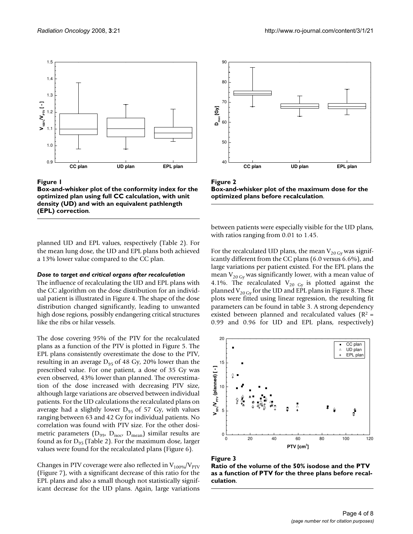

Figure 1

**Box-and-whisker plot of the conformity index for the optimized plan using full CC calculation, with unit density (UD) and with an equivalent pathlength (EPL) correction**.



#### *Dose to target and critical organs after recalculation*

The influence of recalculating the UD and EPL plans with the CC algorithm on the dose distribution for an individual patient is illustrated in Figure 4. The shape of the dose distribution changed significantly, leading to unwanted high dose regions, possibly endangering critical structures like the ribs or hilar vessels.

The dose covering 95% of the PTV for the recalculated plans as a function of the PTV is plotted in Figure 5. The EPL plans consistently overestimate the dose to the PTV, resulting in an average  $D_{95}$  of 48 Gy, 20% lower than the prescribed value. For one patient, a dose of 35 Gy was even observed, 43% lower than planned. The overestimation of the dose increased with decreasing PTV size, although large variations are observed between individual patients. For the UD calculations the recalculated plans on average had a slightly lower  $D_{95}$  of 57 Gy, with values ranging between 63 and 42 Gy for individual patients. No correlation was found with PTV size. For the other dosimetric parameters  $(D_{99}, D_{\text{isoc}} D_{\text{mean}})$  similar results are found as for  $D_{95}$  (Table 2). For the maximum dose, larger values were found for the recalculated plans (Figure 6).

Changes in PTV coverage were also reflected in  $V_{100\%}/V_{PTV}$ (Figure 7), with a significant decrease of this ratio for the EPL plans and also a small though not statistically significant decrease for the UD plans. Again, large variations



Figure 2 **Box-and-whisker plot of the maximum dose for the optimized plans before recalculation**.

between patients were especially visible for the UD plans, with ratios ranging from 0.01 to 1.45.

For the recalculated UD plans, the mean  $V_{20\,\text{Gy}}$  was significantly different from the CC plans (6.0 versus 6.6%), and large variations per patient existed. For the EPL plans the mean  $V_{20\text{ Gv}}$  was significantly lower, with a mean value of 4.1%. The recalculated  $V_{20\ \text{Gy}}$  is plotted against the planned  $V_{20\,\text{Gy}}$  for the UD and EPL plans in Figure 8. These plots were fitted using linear regression, the resulting fit parameters can be found in table 3. A strong dependency existed between planned and recalculated values ( $R^2$  = 0.99 and 0.96 for UD and EPL plans, respectively)



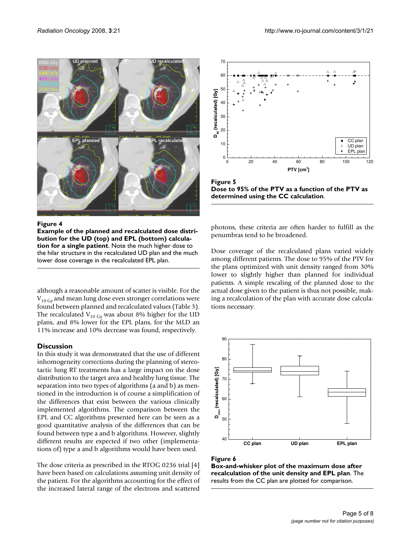

Figure 4

**Example of the planned and recalculated dose distribution for the UD (top) and EPL (bottom) calculation for a single patient**. Note the much higher dose to the hilar structure in the recalculated UD plan and the much lower dose coverage in the recalculated EPL plan.

although a reasonable amount of scatter is visible. For the  $V_{10\text{ GV}}$  and mean lung dose even stronger correlations were found between planned and recalculated values (Table 3). The recalculated  $V_{10\text{ Gy}}$  was about 8% higher for the UD plans, and 8% lower for the EPL plans, for the MLD an 11% increase and 10% decrease was found, respectively.

#### **Discussion**

In this study it was demonstrated that the use of different inhomogeneity corrections during the planning of stereotactic lung RT treatments has a large impact on the dose distribution to the target area and healthy lung tissue. The separation into two types of algorithms (a and b) as mentioned in the introduction is of course a simplification of the differences that exist between the various clinically implemented algorithms. The comparison between the EPL and CC algorithms presented here can be seen as a good quantitative analysis of the differences that can be found between type a and b algorithms. However, slightly different results are expected if two other (implementations of) type a and b algorithms would have been used.

The dose criteria as prescribed in the RTOG 0236 trial [4] have been based on calculations assuming unit density of the patient. For the algorithms accounting for the effect of the increased lateral range of the electrons and scattered



Figure 5 **Dose to 95% of the PTV as a function of the PTV as determined using the CC calculation**.

photons, these criteria are often harder to fulfill as the penumbras tend to be broadened.

Dose coverage of the recalculated plans varied widely among different patients. The dose to 95% of the PTV for the plans optimized with unit density ranged from 30% lower to slightly higher than planned for individual patients. A simple rescaling of the planned dose to the actual dose given to the patient is thus not possible, making a recalculation of the plan with accurate dose calculations necessary.



#### Figure 6

**Box-and-whisker plot of the maximum dose after recalculation of the unit density and EPL plan**. The results from the CC plan are plotted for comparison.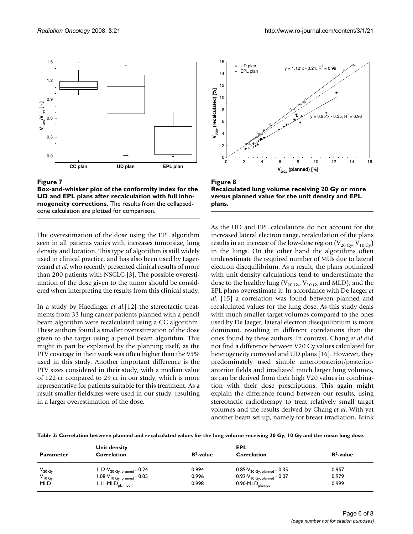

**Figure 7 Box-and-whisker plot of the conformity index for the UD and EPL plans after recalculation with full inhomogeneity corrections.** The results from the collapsedcone calculation are plotted for comparison.

The overestimation of the dose using the EPL algorithm seen in all patients varies with increases tumorsize, lung density and location. This type of algorithm is still widely used in clinical practice, and has also been used by Lagerwaard *et al*. who recently presented clinical results of more than 200 patients with NSCLC [3]. The possible overestimation of the dose given to the tumor should be considered when interpreting the results from this clinical study.

In a study by Haedinger *et al*.[12] the stereotactic treatments from 33 lung cancer patients planned with a pencil beam algorithm were recalculated using a CC algorithm. These authors found a smaller overestimation of the dose given to the target using a pencil beam algorithm. This might in part be explained by the planning itself, as the PTV coverage in their work was often higher than the 95% used in this study. Another important difference is the PTV sizes considered in their study, with a median value of 122 cc compared to 29 cc in our study, which is more representative for patients suitable for this treatment. As a result smaller fieldsizes were used in our study, resulting in a larger overestimation of the dose.



Figure 8 **Recalculated lung volume receiving 20 Gy or more versus planned value for the unit density and EPL plans**.

As the UD and EPL calculations do not account for the increased lateral electron range, recalculation of the plans results in an increase of the low-dose region  $(V_{20\,\text{Gy}}V_{10\,\text{Gy}})$ in the lungs. On the other hand the algorithms often underestimate the required number of MUs due to lateral electron disequilibrium. As a result, the plans optimized with unit density calculations tend to underestimate the dose to the healthy lung ( $V_{20\ \text{Gy}}$ ,  $V_{10\ \text{Gy}}$  and MLD), and the EPL plans overestimate it. In accordance with De Jaeger *et al*. [15] a correlation was found between planned and recalculated values for the lung dose. As this study deals with much smaller target volumes compared to the ones used by De Jaeger, lateral electron disequilibrium is more dominant, resulting in different correlations than the ones found by these authors. In contrast, Chang *et al* did not find a difference between V20 Gy values calculated for heterogeneity corrected and UD plans [16]. However, they predominately used simple anteroposterior/posterioranterior fields and irradiated much larger lung volumes, as can be derived from their high V20 values in combination with their dose prescriptions. This again might explain the difference found between our results, using stereotactic radiotherapy to treat relatively small target volumes and the results derived by Chang *et al*. With yet another beam set-up, namely for breast irradiation, Brink

**Table 3: Correlation between planned and recalculated values for the lung volume receiving 20 Gy, 10 Gy and the mean lung dose.**

|                     | Unit density                                   |              | EPL                                            |              |  |
|---------------------|------------------------------------------------|--------------|------------------------------------------------|--------------|--|
| <b>Parameter</b>    | Correlation                                    | $R^2$ -value | <b>Correlation</b>                             | $R^2$ -value |  |
| $V_{20\ Gy}$        | $1.12\cdot V_{20\;{\rm Gy,\, planned}}$ - 0.24 | 0.994        | $0.85\cdot V_{20\text{ Gy, planned}}$ - 0.35   | 0.957        |  |
| $V_{10 \text{ Gy}}$ | $1.08\cdot V_{10\text{ Gy, planned}}$ - 0.05   | 0.996        | $0.92 \cdot V_{10 \text{ Gy, planned}}$ - 0.07 | 0.979        |  |
| <b>MLD</b>          | $1.11 \cdot \mathsf{MLD}_\mathsf{planned}$ -   | 0.998        | $0.90 \cdot \text{MLD}_{\text{planned}}$       | 0.999        |  |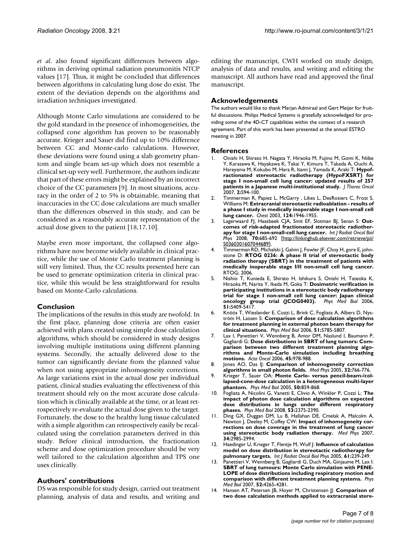*et al*. also found significant differences between algorithms in deriving optimal radiation pneumonitis NTCP values [17]. Thus, it might be concluded that differences between algorithms in calculating lung dose do exist. The extent of the deviation depends on the algorithms and irradiation techniques investigated.

Although Monte Carlo simulations are considered to be the gold standard in the presence of inhomogeneities, the collapsed cone algorithm has proven to be reasonably accurate. Krieger and Sauer did find up to 10% difference between CC and Monte-carlo calculations. However, these deviations were found using a slab geometry phantom and single beam set-up which does not resemble a clinical set-up very well. Furthermore, the authors indicate that part of these errors might be explained by an incorrect choice of the CC parameters [9]. In most situations, accuracy in the order of 2 to 5% is obtainable, meaning that inaccuracies in the CC dose calculations are much smaller than the differences observed in this study, and can be considered as a reasonably accurate representation of the actual dose given to the patient [18,17,10].

Maybe even more important, the collapsed cone algorithms have now become widely available in clinical practice, while the use of Monte Carlo treatment planning is still very limited. Thus, the CC results presented here can be used to generate optimization criteria in clinical practice, while this would be less straightforward for results based on Monte-Carlo calculations.

# **Conclusion**

The implications of the results in this study are twofold. In the first place, planning dose criteria are often easier achieved with plans created using simple dose calculation algorithms, which should be considered in study designs involving multiple institutions using different planning systems. Secondly, the actually delivered dose to the tumor can significantly deviate from the planned value when not using appropriate inhomogeneity corrections. As large variations exist in the actual dose per individual patient, clinical studies evaluating the effectiveness of this treatment should rely on the most accurate dose calculation which is clinically available at the time, or at least retrospectively re-evaluate the actual dose given to the target. Fortunately, the dose to the healthy lung tissue calculated with a simple algorithm can retrospectively easily be recalculated using the correlation parameters derived in this study. Before clinical introduction, the fractionation scheme and dose optimization procedure should be very well tailored to the calculation algorithm and TPS one uses clinically.

#### **Authors' contributions**

DS was responsible for study design, carried out treatment planning, analysis of data and results, and writing and editing the manuscript, CWH worked on study design, analysis of data and results, and writing and editing the manuscript. All authors have read and approved the final manuscript.

## **Acknowledgements**

The authors would like to thank Marjan Admiraal and Gert Meijer for fruitful discussions. Philips Medical Systems is gratefully acknowledged for providing some of the 4D-CT capabilities within the context of a research agreement. Part of this work has been presented at the annual ESTRO meeting in 2007.

#### **References**

- 1. Onishi H, Shirato H, Nagata Y, Hiraoka M, Fujino M, Gomi K, Niibe Y, Karasawa K, Hayakawa K, Takai Y, Kimura T, Takeda A, Ouchi A, Hareyama M, Kokubo M, Hara R, Itami J, Yamada K, Araki T: **[Hypof](http://www.ncbi.nlm.nih.gov/entrez/query.fcgi?cmd=Retrieve&db=PubMed&dopt=Abstract&list_uids=17603311)[ractionated stereotactic radiotherapy \(HypoFXSRT\) for](http://www.ncbi.nlm.nih.gov/entrez/query.fcgi?cmd=Retrieve&db=PubMed&dopt=Abstract&list_uids=17603311) stage I non-small cell lung cancer: updated results of 257 [patients in a Japanese multi-institutional study.](http://www.ncbi.nlm.nih.gov/entrez/query.fcgi?cmd=Retrieve&db=PubMed&dopt=Abstract&list_uids=17603311)** *J Thorac Oncol* 2007, **2:**S94-100.
- 2. Timmerman R, Papiez L, McGarry , Likes L, DesRosiers C, Frost S, Williams M: **[Extracranial stereotactic radioablation - results of](http://www.ncbi.nlm.nih.gov/entrez/query.fcgi?cmd=Retrieve&db=PubMed&dopt=Abstract&list_uids=14605072) [a phase I study in medically inoperable stage I non-small cell](http://www.ncbi.nlm.nih.gov/entrez/query.fcgi?cmd=Retrieve&db=PubMed&dopt=Abstract&list_uids=14605072) [lung cancer.](http://www.ncbi.nlm.nih.gov/entrez/query.fcgi?cmd=Retrieve&db=PubMed&dopt=Abstract&list_uids=14605072)** *Chest* 2003, **124:**1946-1955.
- 3. Lagerwaard FJ, Haasbeek CJA, Smit EF, Slotman BJ, Senan S: **[Out](http://www.ncbi.nlm.nih.gov/entrez/query.fcgi?cmd=Retrieve&db=PubMed&dopt=Abstract&list_uids=18164849)[comes of risk-adapted fractionated stereotactic radiother](http://www.ncbi.nlm.nih.gov/entrez/query.fcgi?cmd=Retrieve&db=PubMed&dopt=Abstract&list_uids=18164849)[apy for stage I non-small-cell lung cancer.](http://www.ncbi.nlm.nih.gov/entrez/query.fcgi?cmd=Retrieve&db=PubMed&dopt=Abstract&list_uids=18164849)** *Int J Radiat Oncol Biol Phys* 2008, **70:**685-692 [[http://linkinghub.elsevier.com/retrieve/pii/](http://linkinghub.elsevier.com/retrieve/pii/S0360301607044689) [S0360301607044689\]](http://linkinghub.elsevier.com/retrieve/pii/S0360301607044689).
- 4. Timmerman RD, Michalski J, Galvin J, Fowler JF, Choy H, gore E, johnstone D: **RTOG 0236: A phase II trial of stereotactic body radiation therapy (SBRT) in the treatment of patients with medically inoperable stage I/II non-small cell lung cancer.** RTOG; 2006.
- 5. Nishio T, Kunieda E, Shirato H, Ishikura S, Onishi H, Tateoka K, Hiraoka M, Narita Y, Ikeda M, Goka T: **[Dosimetric verification in](http://www.ncbi.nlm.nih.gov/entrez/query.fcgi?cmd=Retrieve&db=PubMed&dopt=Abstract&list_uids=17047260) [participating institutions in a stereotactic body radiotherapy](http://www.ncbi.nlm.nih.gov/entrez/query.fcgi?cmd=Retrieve&db=PubMed&dopt=Abstract&list_uids=17047260) trial for stage I non-small cell lung cancer: Japan clinical [oncology group trial \(JCOG0403\).](http://www.ncbi.nlm.nih.gov/entrez/query.fcgi?cmd=Retrieve&db=PubMed&dopt=Abstract&list_uids=17047260)** *Phys Med Biol* 2006, **51:**5409-5417.
- 6. Knöös T, Wieslander E, Cozzi L, Brink C, Fogliata A, Albers D, Nyström H, Lassen S: **[Comparison of dose calculation algorithms](http://www.ncbi.nlm.nih.gov/entrez/query.fcgi?cmd=Retrieve&db=PubMed&dopt=Abstract&list_uids=17068365) [for treatment planning in external photon beam therapy for](http://www.ncbi.nlm.nih.gov/entrez/query.fcgi?cmd=Retrieve&db=PubMed&dopt=Abstract&list_uids=17068365) [clinical situations.](http://www.ncbi.nlm.nih.gov/entrez/query.fcgi?cmd=Retrieve&db=PubMed&dopt=Abstract&list_uids=17068365)** *Phys Med Biol* 2006, **51:**5785-5807.
- 7. Lax I, Panettieri V, Wennberg B, Amor DM, Naslund I, Baumann P, Gagliardi G: **[Dose distributions in SBRT of lung tumors: Com](http://www.ncbi.nlm.nih.gov/entrez/query.fcgi?cmd=Retrieve&db=PubMed&dopt=Abstract&list_uids=16982567)[parison between two different treatment planning algo](http://www.ncbi.nlm.nih.gov/entrez/query.fcgi?cmd=Retrieve&db=PubMed&dopt=Abstract&list_uids=16982567)rithms and Monte-Carlo simulation including breathing [motions.](http://www.ncbi.nlm.nih.gov/entrez/query.fcgi?cmd=Retrieve&db=PubMed&dopt=Abstract&list_uids=16982567)** *Acta Oncol* 2006, **45:**978-988.
- 8. Jones AO, Das IJ: **[Comparison of inhomogeneity correction](http://www.ncbi.nlm.nih.gov/entrez/query.fcgi?cmd=Retrieve&db=PubMed&dopt=Abstract&list_uids=15839349) [algorithms in small photon fields.](http://www.ncbi.nlm.nih.gov/entrez/query.fcgi?cmd=Retrieve&db=PubMed&dopt=Abstract&list_uids=15839349)** *Med Phys* 2005, **32:**766-776.
- 9. Krieger T, Sauer OA: **[Monte Carlo- versus pencil-beam-/col](http://www.ncbi.nlm.nih.gov/entrez/query.fcgi?cmd=Retrieve&db=PubMed&dopt=Abstract&list_uids=15798260)[lapsed-cone-dose calculation in a heterogeneous multi-layer](http://www.ncbi.nlm.nih.gov/entrez/query.fcgi?cmd=Retrieve&db=PubMed&dopt=Abstract&list_uids=15798260) [phantom.](http://www.ncbi.nlm.nih.gov/entrez/query.fcgi?cmd=Retrieve&db=PubMed&dopt=Abstract&list_uids=15798260)** *Phys Med Biol* 2005, **50:**859-868.
- 10. Fogliata A, Nicolini G, Vanetti E, Clivio A, Winkler P, Cozzi L: **[The](http://www.ncbi.nlm.nih.gov/entrez/query.fcgi?cmd=Retrieve&db=PubMed&dopt=Abstract&list_uids=18421117) [impact of photon dose calculation algorithms on expected](http://www.ncbi.nlm.nih.gov/entrez/query.fcgi?cmd=Retrieve&db=PubMed&dopt=Abstract&list_uids=18421117) dose distributions in lungs under different respiratory [phases.](http://www.ncbi.nlm.nih.gov/entrez/query.fcgi?cmd=Retrieve&db=PubMed&dopt=Abstract&list_uids=18421117)** *Phys Med Biol* 2008, **53:**2375-2390.
- 11. Ding GX, Duggan DM, Lu B, Hallahan DE, Cmelak A, Malcolm A, Newton J, Deeley M, Coffey CW: **[Impact of inhomogeneity cor](http://www.ncbi.nlm.nih.gov/entrez/query.fcgi?cmd=Retrieve&db=PubMed&dopt=Abstract&list_uids=17822007)[rections on dose coverage in the treatment of lung cancer](http://www.ncbi.nlm.nih.gov/entrez/query.fcgi?cmd=Retrieve&db=PubMed&dopt=Abstract&list_uids=17822007) [using stereotactic body radiation therapy.](http://www.ncbi.nlm.nih.gov/entrez/query.fcgi?cmd=Retrieve&db=PubMed&dopt=Abstract&list_uids=17822007)** *Med Phys* 2007, **34:**2985-2994.
- 12. Haedinger U, Krieger T, Flentje M, Wulf J: **[Influence of calculation](http://www.ncbi.nlm.nih.gov/entrez/query.fcgi?cmd=Retrieve&db=PubMed&dopt=Abstract&list_uids=15629617) [model on dose distribution in stereotactic radiotherapy for](http://www.ncbi.nlm.nih.gov/entrez/query.fcgi?cmd=Retrieve&db=PubMed&dopt=Abstract&list_uids=15629617) [pulmonary targets.](http://www.ncbi.nlm.nih.gov/entrez/query.fcgi?cmd=Retrieve&db=PubMed&dopt=Abstract&list_uids=15629617)** *Int J Radiat Oncol Biol Phys* 2005, **61:**239-249.
- 13. Panettieri V, Wennberg B, Gagliardi G, Duch MA, Ginjaume M, Lax I: **[SBRT of lung tumours: Monte Carlo simulation with PENE-](http://www.ncbi.nlm.nih.gov/entrez/query.fcgi?cmd=Retrieve&db=PubMed&dopt=Abstract&list_uids=17664607)LOPE of dose distributions including respiratory motion and [comparison with different treatment planning systems.](http://www.ncbi.nlm.nih.gov/entrez/query.fcgi?cmd=Retrieve&db=PubMed&dopt=Abstract&list_uids=17664607)** *Phys Med Biol* 2007, **52:**4265-4281.
- 14. Hansen AT, Petersen JB, Hoyer M, Christensen JJ: **[Comparison of](http://www.ncbi.nlm.nih.gov/entrez/query.fcgi?cmd=Retrieve&db=PubMed&dopt=Abstract&list_uids=16246744) [two dose calculation methods applied to extracranial stere](http://www.ncbi.nlm.nih.gov/entrez/query.fcgi?cmd=Retrieve&db=PubMed&dopt=Abstract&list_uids=16246744)-**